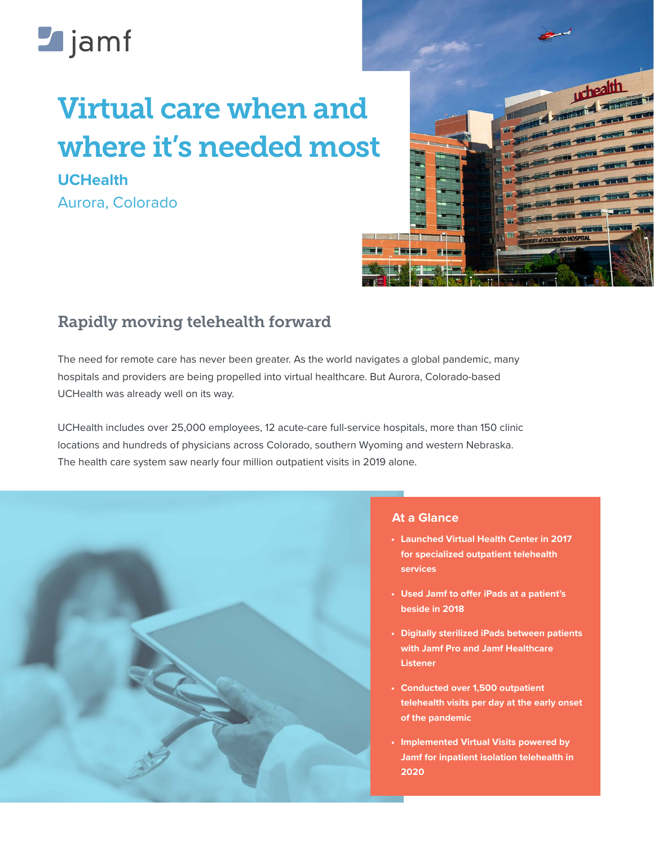# **Legiamf**

# Virtual care when and where it's needed most

**UCHealth** Aurora, Colorado



# Rapidly moving telehealth forward

The need for remote care has never been greater. As the world navigates a global pandemic, many hospitals and providers are being propelled into virtual healthcare. But Aurora, Colorado-based UCHealth was already well on its way.

UCHealth includes over 25,000 employees, 12 acute-care full-service hospitals, more than 150 clinic locations and hundreds of physicians across Colorado, southern Wyoming and western Nebraska. The health care system saw nearly four million outpatient visits in 2019 alone.



### **At a Glance**

- **• Launched Virtual Health Center in 2017 for specialized outpatient telehealth services**
- **• Used Jamf to offer iPads at a patient's beside in 2018**
- **• Digitally sterilized iPads between patients with Jamf Pro and Jamf Healthcare Listener**
- **• Conducted over 1,500 outpatient telehealth visits per day at the early onset of the pandemic**
- **• Implemented Virtual Visits powered by Jamf for inpatient isolation telehealth in 2020**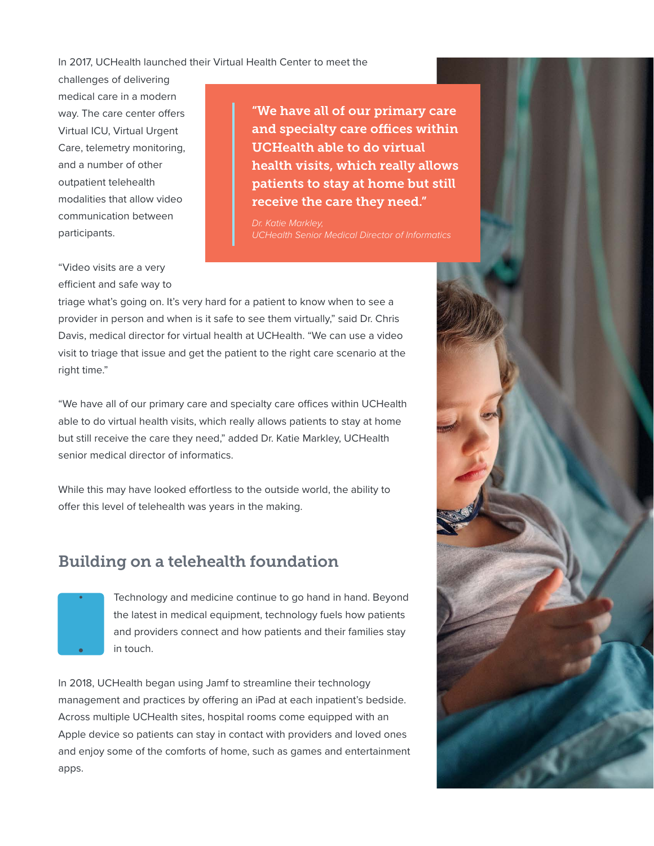#### In 2017, UCHealth launched their Virtual Health Center to meet the

challenges of delivering medical care in a modern way. The care center offers Virtual ICU, Virtual Urgent Care, telemetry monitoring, and a number of other outpatient telehealth modalities that allow video communication between participants.

"We have all of our primary care and specialty care offices within UCHealth able to do virtual health visits, which really allows patients to stay at home but still receive the care they need."

*Dr. Katie Markley, UCHealth Senior Medical Director of Informatics*

"Video visits are a very efficient and safe way to

triage what's going on. It's very hard for a patient to know when to see a provider in person and when is it safe to see them virtually," said Dr. Chris Davis, medical director for virtual health at UCHealth. "We can use a video visit to triage that issue and get the patient to the right care scenario at the right time."

"We have all of our primary care and specialty care offices within UCHealth able to do virtual health visits, which really allows patients to stay at home but still receive the care they need," added Dr. Katie Markley, UCHealth senior medical director of informatics.

While this may have looked effortless to the outside world, the ability to offer this level of telehealth was years in the making.

### Building on a telehealth foundation



Technology and medicine continue to go hand in hand. Beyond the latest in medical equipment, technology fuels how patients and providers connect and how patients and their families stay in touch.

In 2018, UCHealth began using Jamf to streamline their technology management and practices by offering an iPad at each inpatient's bedside. Across multiple UCHealth sites, hospital rooms come equipped with an Apple device so patients can stay in contact with providers and loved ones and enjoy some of the comforts of home, such as games and entertainment apps.

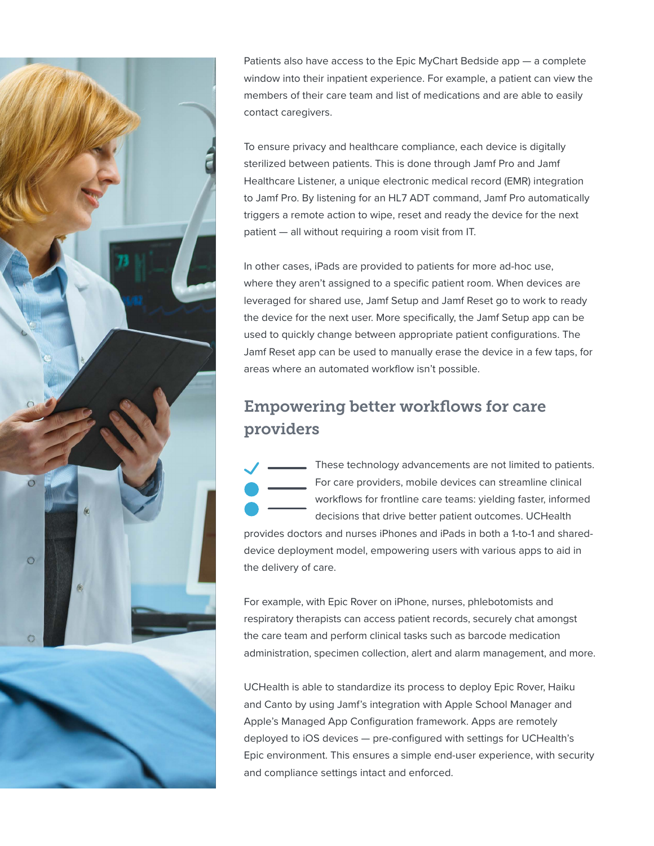

Patients also have access to the Epic MyChart Bedside app — a complete window into their inpatient experience. For example, a patient can view the members of their care team and list of medications and are able to easily contact caregivers.

To ensure privacy and healthcare compliance, each device is digitally sterilized between patients. This is done through Jamf Pro and Jamf Healthcare Listener, a unique electronic medical record (EMR) integration to Jamf Pro. By listening for an HL7 ADT command, Jamf Pro automatically triggers a remote action to wipe, reset and ready the device for the next patient — all without requiring a room visit from IT.

In other cases, iPads are provided to patients for more ad-hoc use, where they aren't assigned to a specific patient room. When devices are leveraged for shared use, Jamf Setup and Jamf Reset go to work to ready the device for the next user. More specifically, the Jamf Setup app can be used to quickly change between appropriate patient configurations. The Jamf Reset app can be used to manually erase the device in a few taps, for areas where an automated workflow isn't possible.

# Empowering better workflows for care providers

These technology advancements are not limited to patients. For care providers, mobile devices can streamline clinical workflows for frontline care teams: yielding faster, informed decisions that drive better patient outcomes. UCHealth

provides doctors and nurses iPhones and iPads in both a 1-to-1 and shareddevice deployment model, empowering users with various apps to aid in the delivery of care.

For example, with Epic Rover on iPhone, nurses, phlebotomists and respiratory therapists can access patient records, securely chat amongst the care team and perform clinical tasks such as barcode medication administration, specimen collection, alert and alarm management, and more.

UCHealth is able to standardize its process to deploy Epic Rover, Haiku and Canto by using Jamf's integration with Apple School Manager and Apple's Managed App Configuration framework. Apps are remotely deployed to iOS devices — pre-configured with settings for UCHealth's Epic environment. This ensures a simple end-user experience, with security and compliance settings intact and enforced.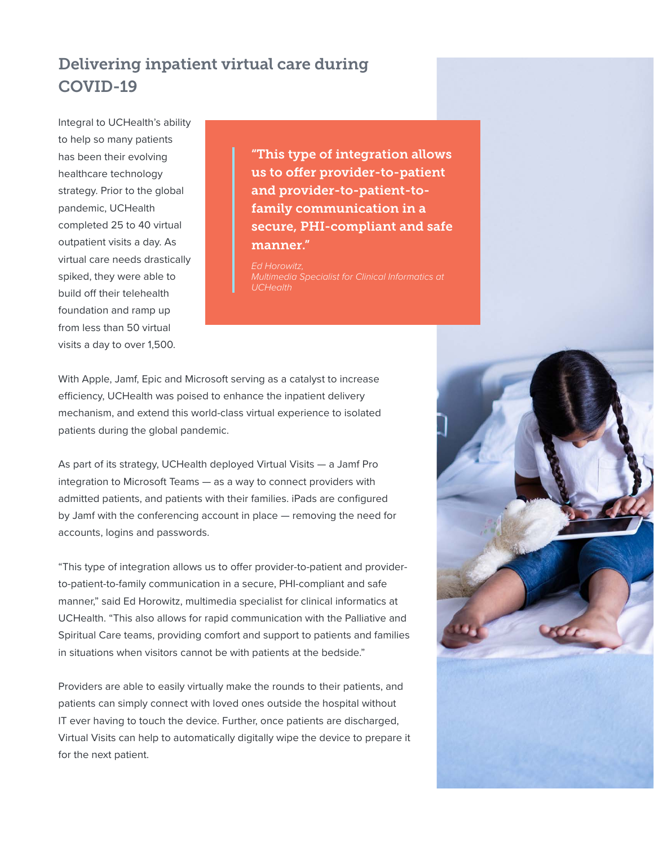# Delivering inpatient virtual care during COVID-19

Integral to UCHealth's ability to help so many patients has been their evolving healthcare technology strategy. Prior to the global pandemic, UCHealth completed 25 to 40 virtual outpatient visits a day. As virtual care needs drastically spiked, they were able to build off their telehealth foundation and ramp up from less than 50 virtual visits a day to over 1,500.

"This type of integration allows us to offer provider-to-patient and provider-to-patient-tofamily communication in a secure, PHI-compliant and safe manner."

*Ed Horowitz, UCHealth*

With Apple, Jamf, Epic and Microsoft serving as a catalyst to increase efficiency, UCHealth was poised to enhance the inpatient delivery mechanism, and extend this world-class virtual experience to isolated patients during the global pandemic.

As part of its strategy, UCHealth deployed Virtual Visits — a Jamf Pro integration to Microsoft Teams — as a way to connect providers with admitted patients, and patients with their families. iPads are configured by Jamf with the conferencing account in place — removing the need for accounts, logins and passwords.

"This type of integration allows us to offer provider-to-patient and providerto-patient-to-family communication in a secure, PHI-compliant and safe manner," said Ed Horowitz, multimedia specialist for clinical informatics at UCHealth. "This also allows for rapid communication with the Palliative and Spiritual Care teams, providing comfort and support to patients and families in situations when visitors cannot be with patients at the bedside."

Providers are able to easily virtually make the rounds to their patients, and patients can simply connect with loved ones outside the hospital without IT ever having to touch the device. Further, once patients are discharged, Virtual Visits can help to automatically digitally wipe the device to prepare it for the next patient.

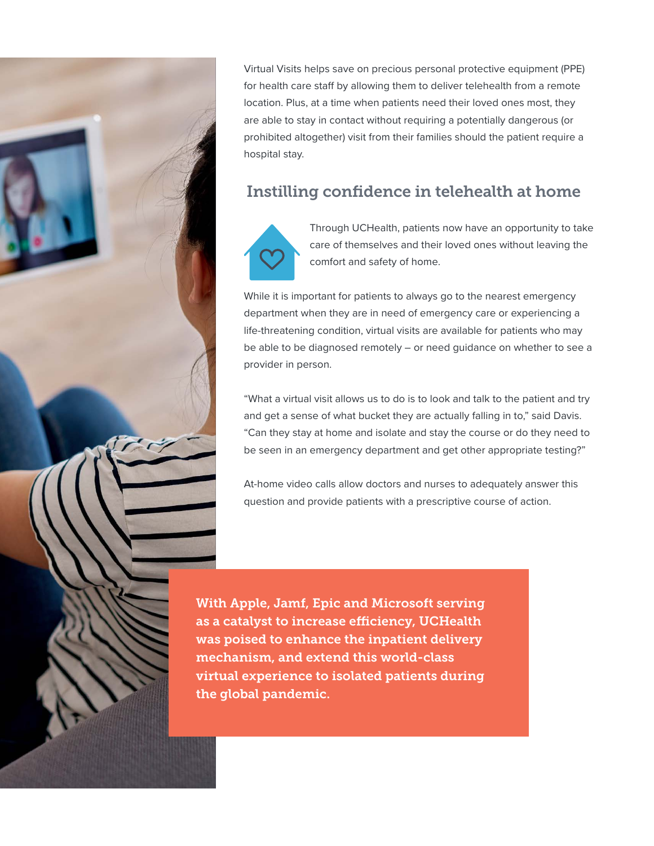

Virtual Visits helps save on precious personal protective equipment (PPE) for health care staff by allowing them to deliver telehealth from a remote location. Plus, at a time when patients need their loved ones most, they are able to stay in contact without requiring a potentially dangerous (or prohibited altogether) visit from their families should the patient require a hospital stay.

## Instilling confidence in telehealth at home



Through UCHealth, patients now have an opportunity to take care of themselves and their loved ones without leaving the comfort and safety of home.

While it is important for patients to always go to the nearest emergency department when they are in need of emergency care or experiencing a life-threatening condition, virtual visits are available for patients who may be able to be diagnosed remotely – or need guidance on whether to see a provider in person.

"What a virtual visit allows us to do is to look and talk to the patient and try and get a sense of what bucket they are actually falling in to," said Davis. "Can they stay at home and isolate and stay the course or do they need to be seen in an emergency department and get other appropriate testing?"

At-home video calls allow doctors and nurses to adequately answer this question and provide patients with a prescriptive course of action.

With Apple, Jamf, Epic and Microsoft serving as a catalyst to increase efficiency, UCHealth was poised to enhance the inpatient delivery mechanism, and extend this world-class virtual experience to isolated patients during the global pandemic.